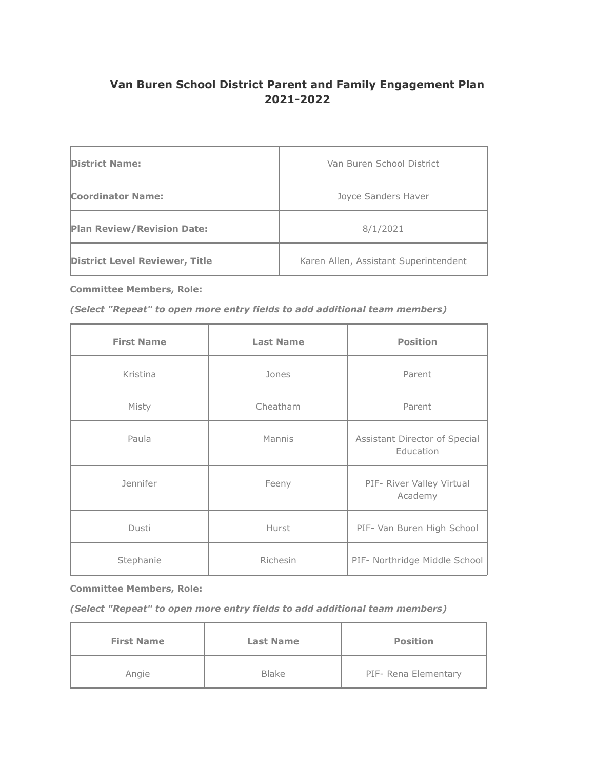# **Van Buren School District Parent and Family Engagement Plan 2021-2022**

| <b>District Name:</b>                 | Van Buren School District             |  |
|---------------------------------------|---------------------------------------|--|
| <b>Coordinator Name:</b>              | Joyce Sanders Haver                   |  |
| <b>Plan Review/Revision Date:</b>     | 8/1/2021                              |  |
| <b>District Level Reviewer, Title</b> | Karen Allen, Assistant Superintendent |  |

**Committee Members, Role:**

## *(Select "Repeat" to open more entry fields to add additional team members)*

| <b>First Name</b> | <b>Last Name</b> | <b>Position</b>                            |
|-------------------|------------------|--------------------------------------------|
| Kristina          | Jones            | Parent                                     |
| Misty             | Cheatham         | Parent                                     |
| Paula             | Mannis           | Assistant Director of Special<br>Education |
| Jennifer          | Feeny            | PIF- River Valley Virtual<br>Academy       |
| Dusti             | Hurst            | PIF- Van Buren High School                 |
| Stephanie         | Richesin         | PIF- Northridge Middle School              |

#### **Committee Members, Role:**

# *(Select "Repeat" to open more entry fields to add additional team members)*

| <b>First Name</b> | <b>Last Name</b> | <b>Position</b>      |
|-------------------|------------------|----------------------|
| Angie             | <b>Blake</b>     | PIF- Rena Elementary |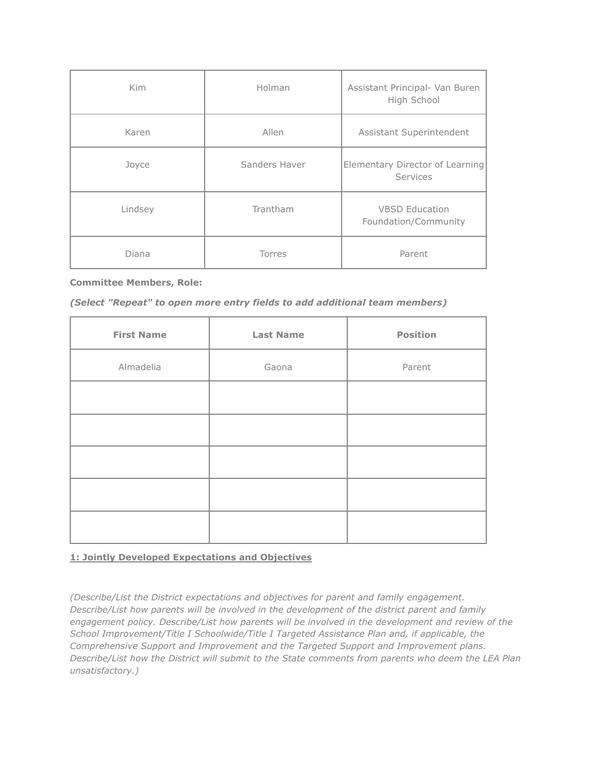| <b>Kim</b> | Holman        | Assistant Principal- Van Buren<br>High School |
|------------|---------------|-----------------------------------------------|
| Karen      | Allen         | Assistant Superintendent                      |
| Joyce      | Sanders Haver | Elementary Director of Learning<br>Services   |
| Lindsey    | Trantham      | <b>VBSD Education</b><br>Foundation/Community |
| Diana      | Torres        | Parent                                        |

#### **Committee Members, Role:**

| (Select "Repeat" to open more entry fields to add additional team members) |
|----------------------------------------------------------------------------|
|----------------------------------------------------------------------------|

| <b>First Name</b> | <b>Last Name</b> | <b>Position</b> |
|-------------------|------------------|-----------------|
| Almadelia         | Gaona            | Parent          |
|                   |                  |                 |
|                   |                  |                 |
|                   |                  |                 |
|                   |                  |                 |
|                   |                  |                 |

# **1: Jointly Developed Expectations and Objectives**

*(Describe/List the District expectations and objectives for parent and family engagement. Describe/List how parents will be involved in the development of the district parent and family engagement policy. Describe/List how parents will be involved in the development and review of the School Improvement/Title I Schoolwide/Title I Targeted Assistance Plan and, if applicable, the Comprehensive Support and Improvement and the Targeted Support and Improvement plans. Describe/List how the District will submit to the State comments from parents who deem the LEA Plan unsatisfactory.)*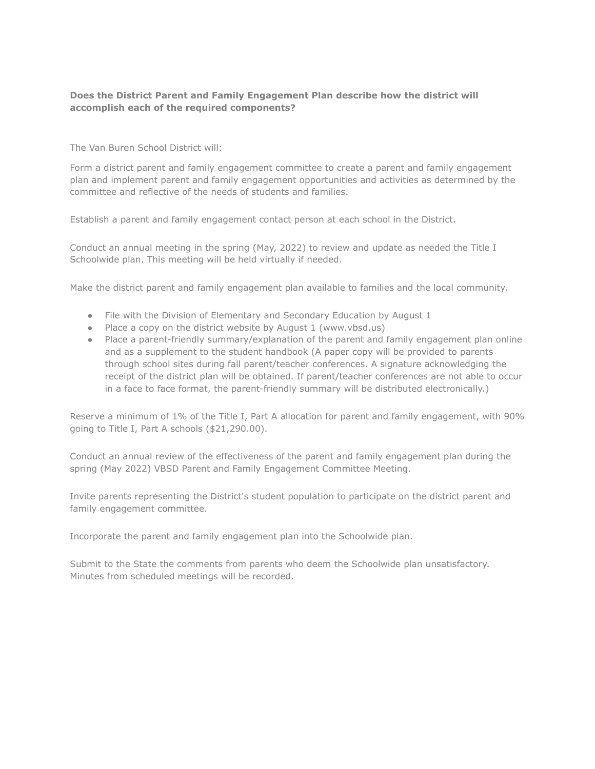## **Does the District Parent and Family Engagement Plan describe how the district will accomplish each of the required components?**

The Van Buren School District will:

Form a district parent and family engagement committee to create a parent and family engagement plan and implement parent and family engagement opportunities and activities as determined by the committee and reflective of the needs of students and families.

Establish a parent and family engagement contact person at each school in the District.

Conduct an annual meeting in the spring (May, 2022) to review and update as needed the Title I Schoolwide plan. This meeting will be held virtually if needed.

Make the district parent and family engagement plan available to families and the local community.

- File with the Division of Elementary and Secondary Education by August 1
- Place a copy on the district website by August 1 (www.vbsd.us)
- Place a parent-friendly summary/explanation of the parent and family engagement plan online and as a supplement to the student handbook (A paper copy will be provided to parents through school sites during fall parent/teacher conferences. A signature acknowledging the receipt of the district plan will be obtained. If parent/teacher conferences are not able to occur in a face to face format, the parent-friendly summary will be distributed electronically.)

Reserve a minimum of 1% of the Title I, Part A allocation for parent and family engagement, with 90% going to Title I, Part A schools (\$21,290.00).

Conduct an annual review of the effectiveness of the parent and family engagement plan during the spring (May 2022) VBSD Parent and Family Engagement Committee Meeting.

Invite parents representing the District's student population to participate on the district parent and family engagement committee.

Incorporate the parent and family engagement plan into the Schoolwide plan.

Submit to the State the comments from parents who deem the Schoolwide plan unsatisfactory. Minutes from scheduled meetings will be recorded.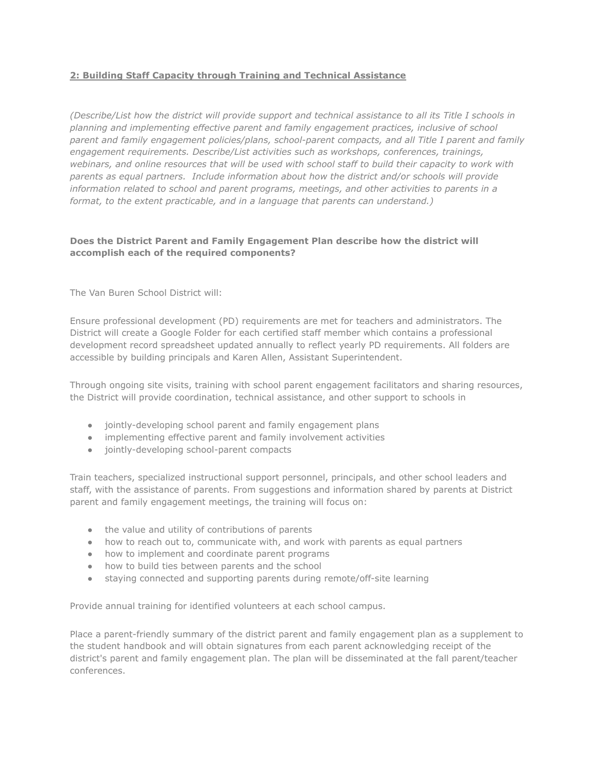# **2: Building Staff Capacity through Training and Technical Assistance**

*(Describe/List how the district will provide support and technical assistance to all its Title I schools in planning and implementing effective parent and family engagement practices, inclusive of school parent and family engagement policies/plans, school-parent compacts, and all Title I parent and family engagement requirements. Describe/List activities such as workshops, conferences, trainings, webinars, and online resources that will be used with school staff to build their capacity to work with parents as equal partners. Include information about how the district and/or schools will provide information related to school and parent programs, meetings, and other activities to parents in a format, to the extent practicable, and in a language that parents can understand.)*

# **Does the District Parent and Family Engagement Plan describe how the district will accomplish each of the required components?**

The Van Buren School District will:

Ensure professional development (PD) requirements are met for teachers and administrators. The District will create a Google Folder for each certified staff member which contains a professional development record spreadsheet updated annually to reflect yearly PD requirements. All folders are accessible by building principals and Karen Allen, Assistant Superintendent.

Through ongoing site visits, training with school parent engagement facilitators and sharing resources, the District will provide coordination, technical assistance, and other support to schools in

- jointly-developing school parent and family engagement plans
- implementing effective parent and family involvement activities
- jointly-developing school-parent compacts

Train teachers, specialized instructional support personnel, principals, and other school leaders and staff, with the assistance of parents. From suggestions and information shared by parents at District parent and family engagement meetings, the training will focus on:

- the value and utility of contributions of parents
- how to reach out to, communicate with, and work with parents as equal partners
- how to implement and coordinate parent programs
- how to build ties between parents and the school
- staying connected and supporting parents during remote/off-site learning

Provide annual training for identified volunteers at each school campus.

Place a parent-friendly summary of the district parent and family engagement plan as a supplement to the student handbook and will obtain signatures from each parent acknowledging receipt of the district's parent and family engagement plan. The plan will be disseminated at the fall parent/teacher conferences.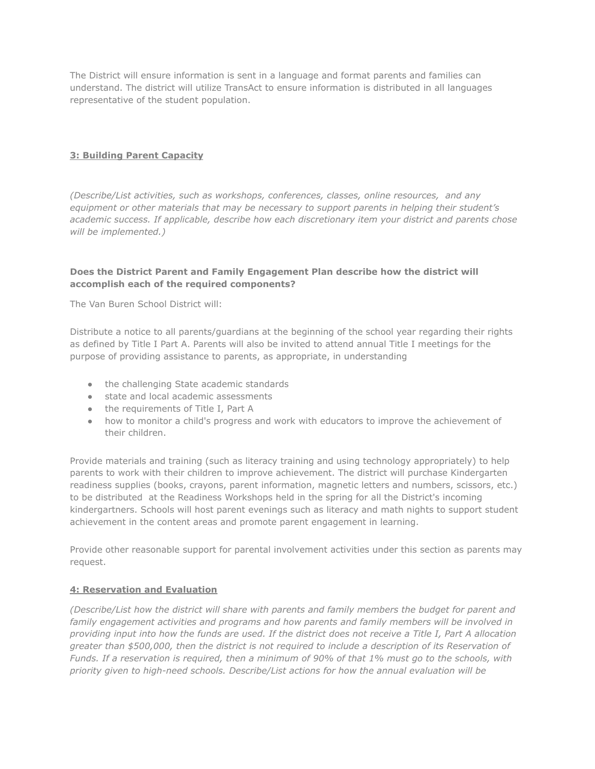The District will ensure information is sent in a language and format parents and families can understand. The district will utilize TransAct to ensure information is distributed in all languages representative of the student population.

# **3: Building Parent Capacity**

*(Describe/List activities, such as workshops, conferences, classes, online resources, and any equipment or other materials that may be necessary to support parents in helping their student's academic success. If applicable, describe how each discretionary item your district and parents chose will be implemented.)*

## **Does the District Parent and Family Engagement Plan describe how the district will accomplish each of the required components?**

The Van Buren School District will:

Distribute a notice to all parents/guardians at the beginning of the school year regarding their rights as defined by Title I Part A. Parents will also be invited to attend annual Title I meetings for the purpose of providing assistance to parents, as appropriate, in understanding

- the challenging State academic standards
- state and local academic assessments
- the requirements of Title I, Part A
- how to monitor a child's progress and work with educators to improve the achievement of their children.

Provide materials and training (such as literacy training and using technology appropriately) to help parents to work with their children to improve achievement. The district will purchase Kindergarten readiness supplies (books, crayons, parent information, magnetic letters and numbers, scissors, etc.) to be distributed at the Readiness Workshops held in the spring for all the District's incoming kindergartners. Schools will host parent evenings such as literacy and math nights to support student achievement in the content areas and promote parent engagement in learning.

Provide other reasonable support for parental involvement activities under this section as parents may request.

#### **4: Reservation and Evaluation**

*(Describe/List how the district will share with parents and family members the budget for parent and family engagement activities and programs and how parents and family members will be involved in providing input into how the funds are used. If the district does not receive a Title I, Part A allocation greater than \$500,000, then the district is not required to include a description of its Reservation of Funds. If a reservation is required, then a minimum of 90% of that 1% must go to the schools, with priority given to high-need schools. Describe/List actions for how the annual evaluation will be*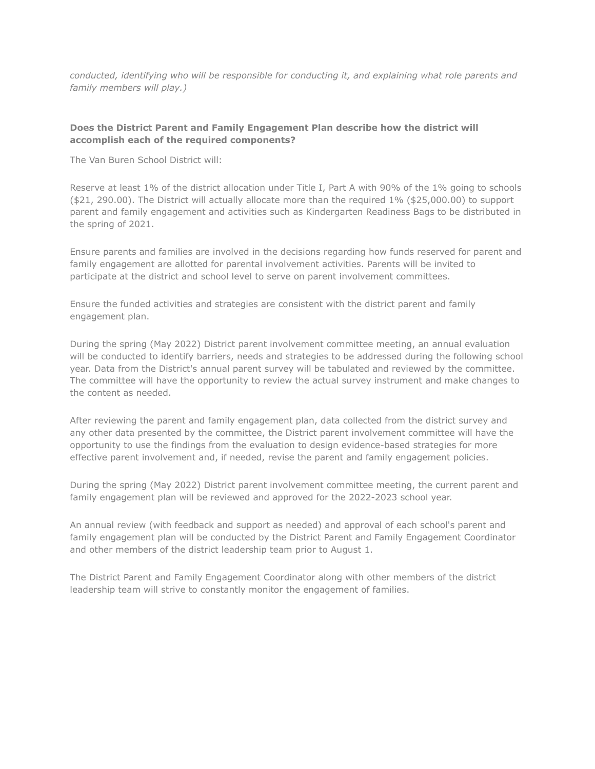*conducted, identifying who will be responsible for conducting it, and explaining what role parents and family members will play.)*

#### **Does the District Parent and Family Engagement Plan describe how the district will accomplish each of the required components?**

The Van Buren School District will:

Reserve at least 1% of the district allocation under Title I, Part A with 90% of the 1% going to schools (\$21, 290.00). The District will actually allocate more than the required 1% (\$25,000.00) to support parent and family engagement and activities such as Kindergarten Readiness Bags to be distributed in the spring of 2021.

Ensure parents and families are involved in the decisions regarding how funds reserved for parent and family engagement are allotted for parental involvement activities. Parents will be invited to participate at the district and school level to serve on parent involvement committees.

Ensure the funded activities and strategies are consistent with the district parent and family engagement plan.

During the spring (May 2022) District parent involvement committee meeting, an annual evaluation will be conducted to identify barriers, needs and strategies to be addressed during the following school year. Data from the District's annual parent survey will be tabulated and reviewed by the committee. The committee will have the opportunity to review the actual survey instrument and make changes to the content as needed.

After reviewing the parent and family engagement plan, data collected from the district survey and any other data presented by the committee, the District parent involvement committee will have the opportunity to use the findings from the evaluation to design evidence-based strategies for more effective parent involvement and, if needed, revise the parent and family engagement policies.

During the spring (May 2022) District parent involvement committee meeting, the current parent and family engagement plan will be reviewed and approved for the 2022-2023 school year.

An annual review (with feedback and support as needed) and approval of each school's parent and family engagement plan will be conducted by the District Parent and Family Engagement Coordinator and other members of the district leadership team prior to August 1.

The District Parent and Family Engagement Coordinator along with other members of the district leadership team will strive to constantly monitor the engagement of families.